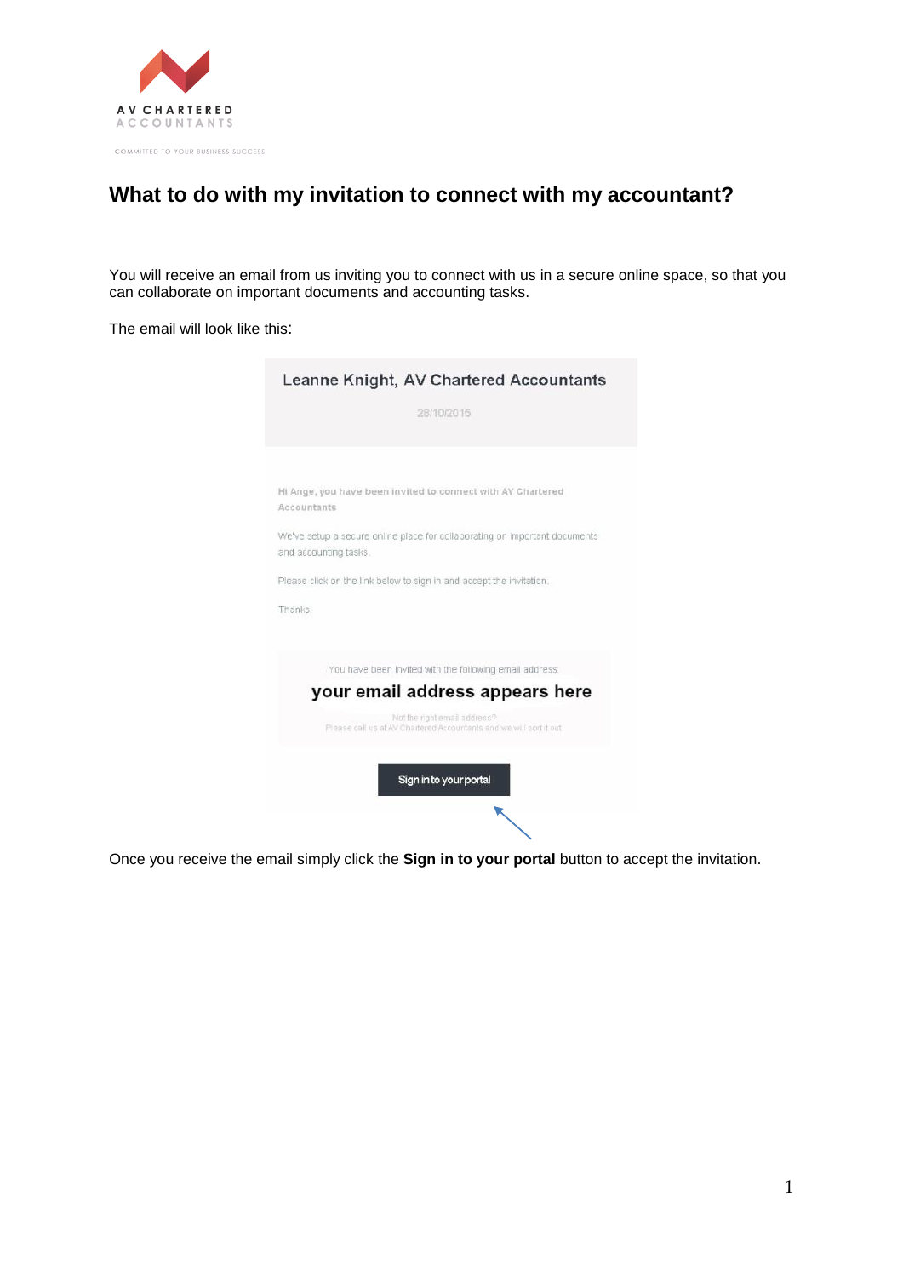

## **What to do with my invitation to connect with my accountant?**

You will receive an email from us inviting you to connect with us in a secure online space, so that you can collaborate on important documents and accounting tasks.

The email will look like this:

| Leanne Knight, AV Chartered Accountants                                                             |
|-----------------------------------------------------------------------------------------------------|
| 28/10/2015                                                                                          |
|                                                                                                     |
| HI Ange, you have been invited to connect with AV Chartered<br>Accountants                          |
| We've setup a secure online place for collaborating on important documents<br>and accounting tasks. |
| Please click on the link below to sign in and accept the invitation.                                |
| Thanks.                                                                                             |
| You have been invited with the following email address:                                             |
| your email address appears here                                                                     |
| Not the right email address?<br>Please call us at AV Chartered Accountants and we will sort it out. |
| Sign in to your portal                                                                              |
|                                                                                                     |

Once you receive the email simply click the **Sign in to your portal** button to accept the invitation.